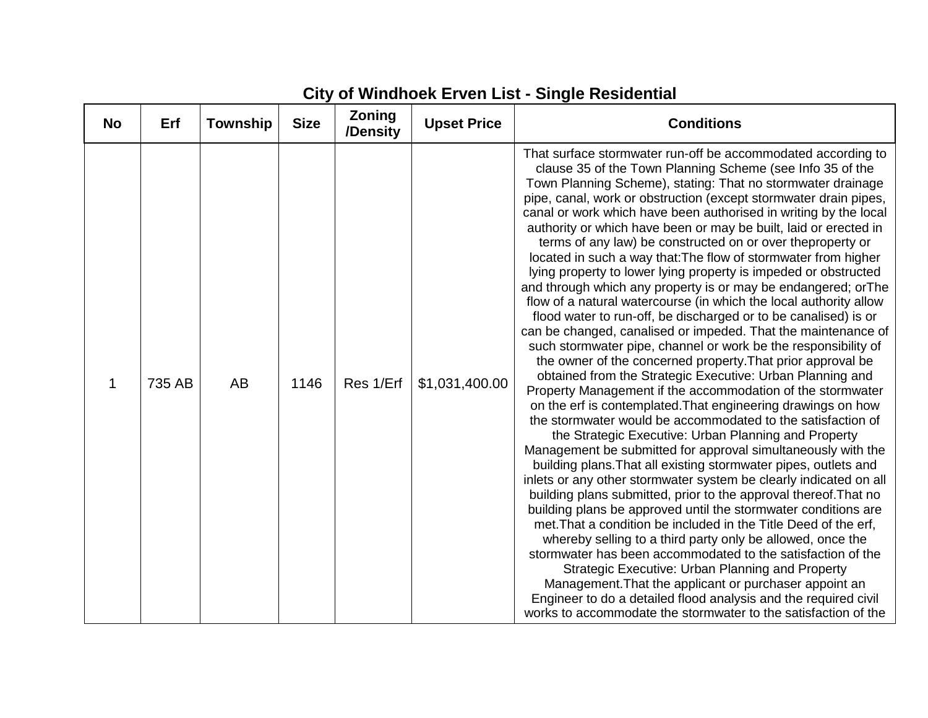## **City of Windhoek Erven List - Single Residential**

| <b>No</b> | Erf    | <b>Township</b> | <b>Size</b> | Zoning<br>/Density | <b>Upset Price</b> | <b>Conditions</b>                                                                                                                                                                                                                                                                                                                                                                                                                                                                                                                                                                                                                                                                                                                                                                                                                                                                                                                                                                                                                                                                                                                                                                                                                                                                                                                                                                                                                                                                                                                                                                                                                                                                                                                                                                                                                                                                                                                                                                                                                                                                                                                      |
|-----------|--------|-----------------|-------------|--------------------|--------------------|----------------------------------------------------------------------------------------------------------------------------------------------------------------------------------------------------------------------------------------------------------------------------------------------------------------------------------------------------------------------------------------------------------------------------------------------------------------------------------------------------------------------------------------------------------------------------------------------------------------------------------------------------------------------------------------------------------------------------------------------------------------------------------------------------------------------------------------------------------------------------------------------------------------------------------------------------------------------------------------------------------------------------------------------------------------------------------------------------------------------------------------------------------------------------------------------------------------------------------------------------------------------------------------------------------------------------------------------------------------------------------------------------------------------------------------------------------------------------------------------------------------------------------------------------------------------------------------------------------------------------------------------------------------------------------------------------------------------------------------------------------------------------------------------------------------------------------------------------------------------------------------------------------------------------------------------------------------------------------------------------------------------------------------------------------------------------------------------------------------------------------------|
| 1         | 735 AB | AB              | 1146        | Res 1/Erf          | \$1,031,400.00     | That surface stormwater run-off be accommodated according to<br>clause 35 of the Town Planning Scheme (see Info 35 of the<br>Town Planning Scheme), stating: That no stormwater drainage<br>pipe, canal, work or obstruction (except stormwater drain pipes,<br>canal or work which have been authorised in writing by the local<br>authority or which have been or may be built, laid or erected in<br>terms of any law) be constructed on or over theproperty or<br>located in such a way that: The flow of stormwater from higher<br>lying property to lower lying property is impeded or obstructed<br>and through which any property is or may be endangered; or The<br>flow of a natural watercourse (in which the local authority allow<br>flood water to run-off, be discharged or to be canalised) is or<br>can be changed, canalised or impeded. That the maintenance of<br>such stormwater pipe, channel or work be the responsibility of<br>the owner of the concerned property. That prior approval be<br>obtained from the Strategic Executive: Urban Planning and<br>Property Management if the accommodation of the stormwater<br>on the erf is contemplated. That engineering drawings on how<br>the stormwater would be accommodated to the satisfaction of<br>the Strategic Executive: Urban Planning and Property<br>Management be submitted for approval simultaneously with the<br>building plans. That all existing stormwater pipes, outlets and<br>inlets or any other stormwater system be clearly indicated on all<br>building plans submitted, prior to the approval thereof. That no<br>building plans be approved until the stormwater conditions are<br>met. That a condition be included in the Title Deed of the erf,<br>whereby selling to a third party only be allowed, once the<br>stormwater has been accommodated to the satisfaction of the<br>Strategic Executive: Urban Planning and Property<br>Management. That the applicant or purchaser appoint an<br>Engineer to do a detailed flood analysis and the required civil<br>works to accommodate the stormwater to the satisfaction of the |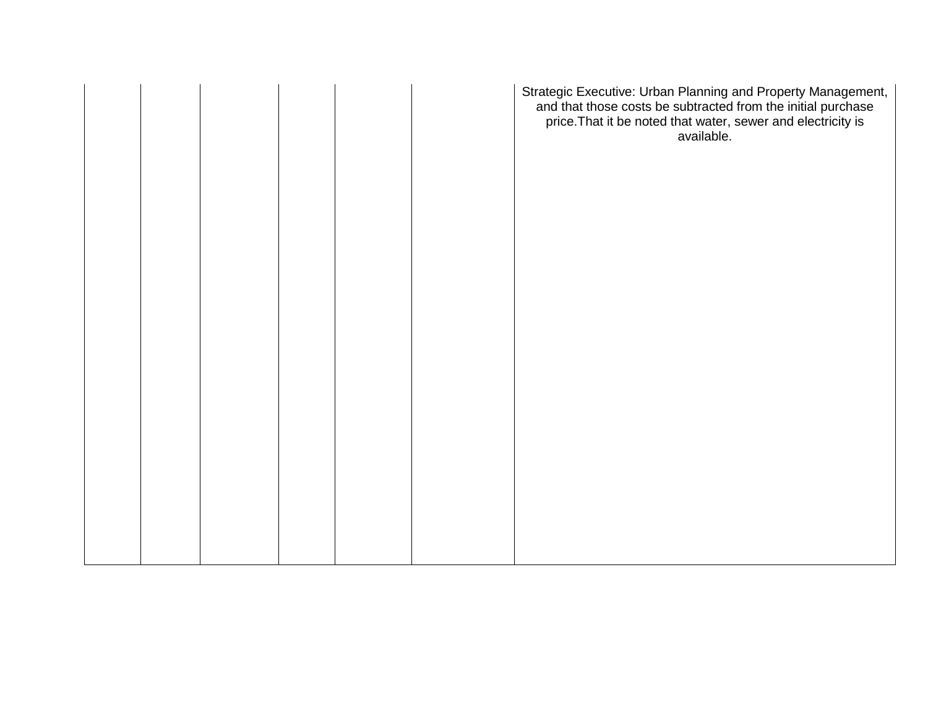|  | Strategic Executive: Urban Planning and Property Management,<br>and that those costs be subtracted from the initial purchase<br>price. That it be noted that water, sewer and electricity is<br>available. |
|--|------------------------------------------------------------------------------------------------------------------------------------------------------------------------------------------------------------|
|  |                                                                                                                                                                                                            |
|  |                                                                                                                                                                                                            |
|  |                                                                                                                                                                                                            |
|  |                                                                                                                                                                                                            |
|  |                                                                                                                                                                                                            |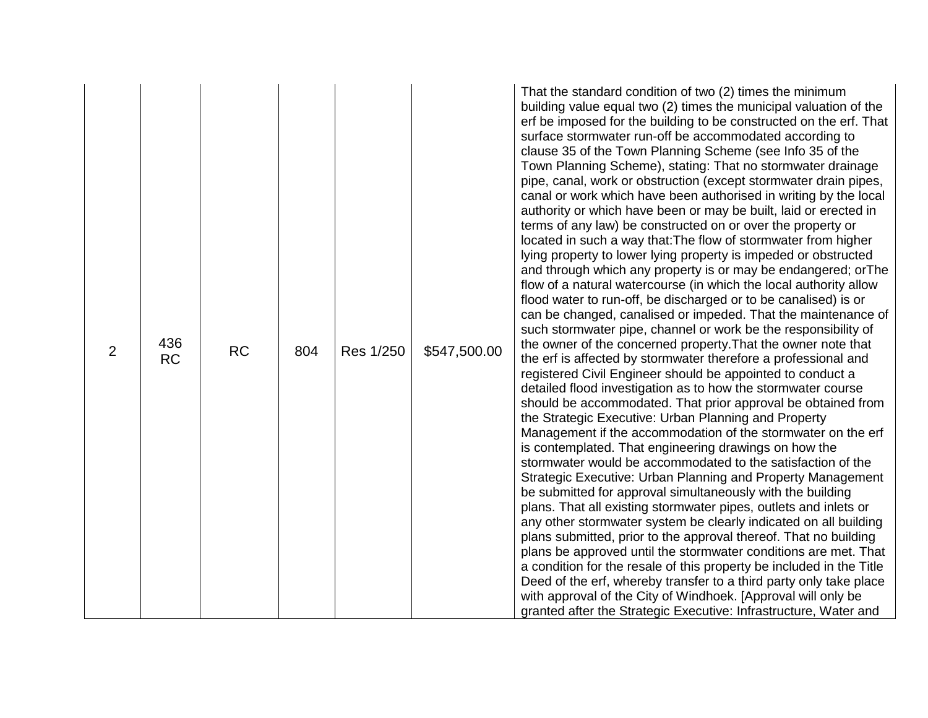| 2 | 436<br><b>RC</b><br><b>RC</b> | Res 1/250<br>804 | \$547,500.00 | erf be imposed for the building to be constructed on the erf. That<br>surface stormwater run-off be accommodated according to<br>clause 35 of the Town Planning Scheme (see Info 35 of the<br>Town Planning Scheme), stating: That no stormwater drainage<br>pipe, canal, work or obstruction (except stormwater drain pipes,<br>canal or work which have been authorised in writing by the local<br>authority or which have been or may be built, laid or erected in<br>terms of any law) be constructed on or over the property or<br>located in such a way that: The flow of stormwater from higher<br>lying property to lower lying property is impeded or obstructed<br>and through which any property is or may be endangered; or The<br>flow of a natural watercourse (in which the local authority allow<br>flood water to run-off, be discharged or to be canalised) is or<br>can be changed, canalised or impeded. That the maintenance of<br>such stormwater pipe, channel or work be the responsibility of<br>the owner of the concerned property. That the owner note that<br>the erf is affected by stormwater therefore a professional and<br>registered Civil Engineer should be appointed to conduct a<br>detailed flood investigation as to how the stormwater course<br>should be accommodated. That prior approval be obtained from<br>the Strategic Executive: Urban Planning and Property<br>Management if the accommodation of the stormwater on the erf<br>is contemplated. That engineering drawings on how the<br>stormwater would be accommodated to the satisfaction of the<br>Strategic Executive: Urban Planning and Property Management<br>be submitted for approval simultaneously with the building<br>plans. That all existing stormwater pipes, outlets and inlets or<br>any other stormwater system be clearly indicated on all building<br>plans submitted, prior to the approval thereof. That no building<br>plans be approved until the stormwater conditions are met. That<br>a condition for the resale of this property be included in the Title<br>Deed of the erf, whereby transfer to a third party only take place<br>with approval of the City of Windhoek. [Approval will only be |
|---|-------------------------------|------------------|--------------|------------------------------------------------------------------------------------------------------------------------------------------------------------------------------------------------------------------------------------------------------------------------------------------------------------------------------------------------------------------------------------------------------------------------------------------------------------------------------------------------------------------------------------------------------------------------------------------------------------------------------------------------------------------------------------------------------------------------------------------------------------------------------------------------------------------------------------------------------------------------------------------------------------------------------------------------------------------------------------------------------------------------------------------------------------------------------------------------------------------------------------------------------------------------------------------------------------------------------------------------------------------------------------------------------------------------------------------------------------------------------------------------------------------------------------------------------------------------------------------------------------------------------------------------------------------------------------------------------------------------------------------------------------------------------------------------------------------------------------------------------------------------------------------------------------------------------------------------------------------------------------------------------------------------------------------------------------------------------------------------------------------------------------------------------------------------------------------------------------------------------------------------------------------------------------------------------------------------------------|
|   |                               |                  |              | granted after the Strategic Executive: Infrastructure, Water and                                                                                                                                                                                                                                                                                                                                                                                                                                                                                                                                                                                                                                                                                                                                                                                                                                                                                                                                                                                                                                                                                                                                                                                                                                                                                                                                                                                                                                                                                                                                                                                                                                                                                                                                                                                                                                                                                                                                                                                                                                                                                                                                                                   |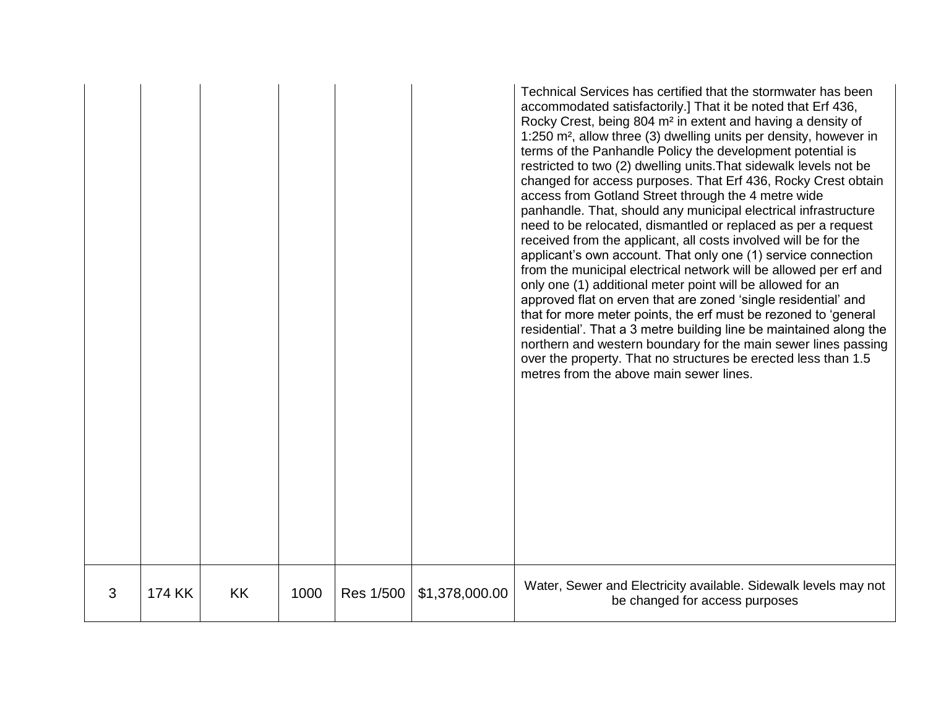|   |               |           |      |           |                | Technical Services has certified that the stormwater has been<br>accommodated satisfactorily.] That it be noted that Erf 436,<br>Rocky Crest, being 804 m <sup>2</sup> in extent and having a density of<br>1:250 m <sup>2</sup> , allow three (3) dwelling units per density, however in<br>terms of the Panhandle Policy the development potential is<br>restricted to two (2) dwelling units. That sidewalk levels not be<br>changed for access purposes. That Erf 436, Rocky Crest obtain<br>access from Gotland Street through the 4 metre wide<br>panhandle. That, should any municipal electrical infrastructure<br>need to be relocated, dismantled or replaced as per a request<br>received from the applicant, all costs involved will be for the<br>applicant's own account. That only one (1) service connection<br>from the municipal electrical network will be allowed per erf and<br>only one (1) additional meter point will be allowed for an<br>approved flat on erven that are zoned 'single residential' and<br>that for more meter points, the erf must be rezoned to 'general<br>residential'. That a 3 metre building line be maintained along the<br>northern and western boundary for the main sewer lines passing<br>over the property. That no structures be erected less than 1.5<br>metres from the above main sewer lines. |
|---|---------------|-----------|------|-----------|----------------|-----------------------------------------------------------------------------------------------------------------------------------------------------------------------------------------------------------------------------------------------------------------------------------------------------------------------------------------------------------------------------------------------------------------------------------------------------------------------------------------------------------------------------------------------------------------------------------------------------------------------------------------------------------------------------------------------------------------------------------------------------------------------------------------------------------------------------------------------------------------------------------------------------------------------------------------------------------------------------------------------------------------------------------------------------------------------------------------------------------------------------------------------------------------------------------------------------------------------------------------------------------------------------------------------------------------------------------------------------------|
| 3 | <b>174 KK</b> | <b>KK</b> | 1000 | Res 1/500 | \$1,378,000.00 | Water, Sewer and Electricity available. Sidewalk levels may not<br>be changed for access purposes                                                                                                                                                                                                                                                                                                                                                                                                                                                                                                                                                                                                                                                                                                                                                                                                                                                                                                                                                                                                                                                                                                                                                                                                                                                         |